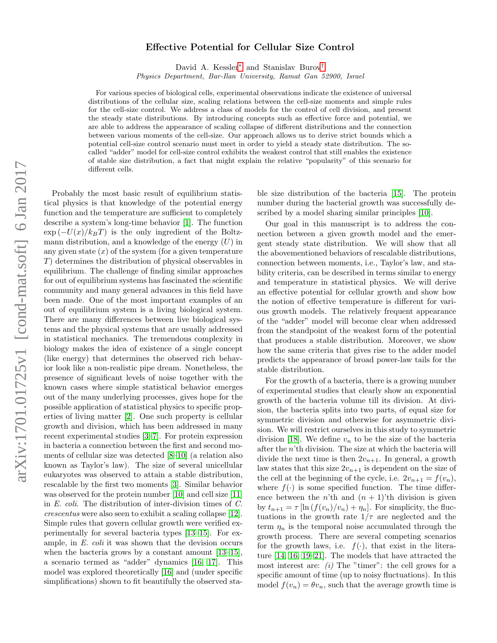## $arXiv:1701.01725v1$  [cond-mat.soft] 6 Jan 2017 arXiv:1701.01725v1 [cond-mat.soft] 6 Jan 2017

## Effective Potential for Cellular Size Control

David A. Kessler[∗](#page-4-0) and Stanislav Burov[†](#page-4-1)

Physics Department, Bar-Ilan University, Ramat Gan 52900, Israel

For various species of biological cells, experimental observations indicate the existence of universal distributions of the cellular size, scaling relations between the cell-size moments and simple rules for the cell-size control. We address a class of models for the control of cell division, and present the steady state distributions. By introducing concepts such as effective force and potential, we are able to address the appearance of scaling collapse of different distributions and the connection between various moments of the cell-size. Our approach allows us to derive strict bounds which a potential cell-size control scenario must meet in order to yield a steady state distribution. The socalled "adder" model for cell-size control exhibits the weakest control that still enables the existence of stable size distribution, a fact that might explain the relative "popularity" of this scenario for different cells.

Probably the most basic result of equilibrium statistical physics is that knowledge of the potential energy function and the temperature are sufficient to completely describe a system's long-time behavior [\[1\]](#page-4-2). The function  $\exp(-U(x)/k_BT)$  is the only ingredient of the Boltzmann distribution, and a knowledge of the energy  $(U)$  in any given state  $(x)$  of the system (for a given temperature T) determines the distribution of physical observables in equilibrium. The challenge of finding similar approaches for out of equilibrium systems has fascinated the scientific community and many general advances in this field have been made. One of the most important examples of an out of equilibrium system is a living biological system. There are many differences between live biological systems and the physical systems that are usually addressed in statistical mechanics. The tremendous complexity in biology makes the idea of existence of a single concept (like energy) that determines the observed rich behavior look like a non-realistic pipe dream. Nonetheless, the presence of significant levels of noise together with the known cases where simple statistical behavior emerges out of the many underlying processes, gives hope for the possible application of statistical physics to specific properties of living matter [\[2\]](#page-4-3). One such property is cellular growth and division, which has been addressed in many recent experimental studies [\[3–](#page-4-4)[7\]](#page-4-5). For protein expression in bacteria a connection between the first and second moments of cellular size was detected [\[8](#page-4-6)[–10\]](#page-4-7) (a relation also known as Taylor's law). The size of several unicellular eukaryotes was observed to attain a stable distribution, rescalable by the first two moments [\[3\]](#page-4-4). Similar behavior was observed for the protein number [\[10\]](#page-4-7) and cell size [\[11\]](#page-4-8) in E. coli. The distribution of inter-division times of C. crescentus were also seen to exhibit a scaling collapse [\[12\]](#page-4-9). Simple rules that govern cellular growth were verified experimentally for several bacteria types [\[13–](#page-4-10)[15\]](#page-4-11). For example, in E. coli it was shown that the devision occurs when the bacteria grows by a constant amount [\[13–](#page-4-10)[15\]](#page-4-11), a scenario termed as "adder" dynamics [\[16,](#page-4-12) [17\]](#page-4-13). This model was explored theoretically [\[16\]](#page-4-12) and (under specific simplifications) shown to fit beautifully the observed stable size distribution of the bacteria [\[15\]](#page-4-11). The protein number during the bacterial growth was successfully described by a model sharing similar principles [\[10\]](#page-4-7).

Our goal in this manuscript is to address the connection between a given growth model and the emergent steady state distribution. We will show that all the abovementioned behaviors of rescalable distributions, connection between moments, i.e., Taylor's law, and stability criteria, can be described in terms similar to energy and temperature in statistical physics. We will derive an effective potential for cellular growth and show how the notion of effective temperature is different for various growth models. The relatively frequent appearance of the "adder" model will become clear when addressed from the standpoint of the weakest form of the potential that produces a stable distribution. Moreover, we show how the same criteria that gives rise to the adder model predicts the appearance of broad power-law tails for the stable distribution.

For the growth of a bacteria, there is a growing number of experimental studies that clearly show an exponential growth of the bacteria volume till its division. At division, the bacteria splits into two parts, of equal size for symmetric division and otherwise for asymmetric division. We will restrict ourselves in this study to symmetric division [\[18\]](#page-4-14). We define  $v_n$  to be the size of the bacteria after the  $n$ 'th division. The size at which the bacteria will divide the next time is then  $2v_{n+1}$ . In general, a growth law states that this size  $2v_{n+1}$  is dependent on the size of the cell at the beginning of the cycle, i.e.  $2v_{n+1} = f(v_n)$ , where  $f(\cdot)$  is some specified function. The time difference between the *n*'th and  $(n + 1)$ 'th division is given by  $t_{n+1} = \tau [\ln (f(v_n)/v_n) + \eta_n]$ . For simplicity, the fluctuations in the growth rate  $1/\tau$  are neglected and the term  $\eta_n$  is the temporal noise accumulated through the growth process. There are several competing scenarios for the growth laws, i.e.  $f(\cdot)$ , that exist in the literature [\[14,](#page-4-15) [16,](#page-4-12) [19](#page-4-16)[–21\]](#page-4-17). The models that have attracted the most interest are:  $(i)$  The "timer": the cell grows for a specific amount of time (up to noisy fluctuations). In this model  $f(v_n) = \theta v_n$ , such that the average growth time is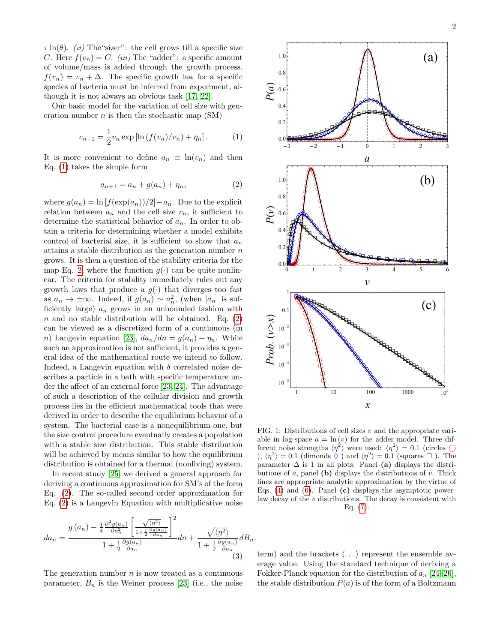$\tau \ln(\theta)$ . *(ii)* The "sizer": the cell grows till a specific size C. Here  $f(v_n) = C$ . *(iii)* The "adder": a specific amount of volume/mass is added through the growth process.  $f(v_n) = v_n + \Delta$ . The specific growth law for a specific species of bacteria must be inferred from experiment, although it is not always an obvious task [\[17,](#page-4-13) [22\]](#page-4-18).

Our basic model for the variation of cell size with generation number  $n$  is then the stochastic map (SM)

<span id="page-1-0"></span>
$$
v_{n+1} = \frac{1}{2}v_n \exp\left[\ln\left(\frac{f(v_n)}{v_n}\right) + \eta_n\right].
$$
 (1)

It is more convenient to define  $a_n \equiv \ln(v_n)$  and then Eq. [\(1\)](#page-1-0) takes the simple form

<span id="page-1-1"></span>
$$
a_{n+1} = a_n + g(a_n) + \eta_n,\t\t(2)
$$

where  $g(a_n) = \ln [f(\exp(a_n))/2] - a_n$ . Due to the explicit relation between  $a_n$  and the cell size  $v_n$ , it sufficient to determine the statistical behavior of  $a_n$ . In order to obtain a criteria for determining whether a model exhibits control of bacterial size, it is sufficient to show that  $a_n$ attains a stable distribution as the generation number  $n$ grows. It is then a question of the stability criteria for the map Eq. [2,](#page-1-1) where the function  $g(\cdot)$  can be quite nonlinear. The criteria for stability immediately rules out any growth laws that produce a  $g(\cdot)$  that diverges too fast as  $a_n \to \pm \infty$ . Indeed, if  $g(a_n) \sim a_n^2$ , (when  $|a_n|$  is sufficiently large)  $a_n$  grows in an unbounded fashion with  $n$  and no stable distribution will be obtained. Eq. [\(2\)](#page-1-1) can be viewed as a discretized form of a continuous (in n) Langevin equation [\[23\]](#page-4-19),  $da_n/dn = g(a_n) + \eta_n$ . While such an approximation is not sufficient, it provides a general idea of the mathematical route we intend to follow. Indeed, a Langevin equation with  $\delta$  correlated noise describes a particle in a bath with specific temperature under the affect of an external force [\[23,](#page-4-19) [24\]](#page-4-20). The advantage of such a description of the cellular division and growth process lies in the efficient mathematical tools that were derived in order to describe the equilibrium behavior of a system. The bacterial case is a nonequilibrium one, but the size control procedure eventually creates a population with a stable size distribution. This stable distribution will be achieved by means similar to how the equilibrium distribution is obtained for a thermal (nonliving) system.  $v_{n+1} = \frac{1}{2}v_n \exp(\ln l)(f(v_n)/e_n) + \eta_n)$ . (1)<br>
It is more convenient to define  $a_n \equiv \ln(v_n)$  and then<br>  $\alpha_{k+1} = a_k + g(\sigma_n) + \eta_n$ . (2)<br>
where  $g(a_n) = \ln |f(\exp(a_n))/2| - a_n$ . Due to the explicit<br>
desired in  $\phi_n$  (i.e., it subfinite the stat

In recent study [\[25\]](#page-4-21) we derived a general approach for deriving a continuous approximation for SM's of the form Eq. [\(2\)](#page-1-1). The so-called second order approximation for Eq. [\(2\)](#page-1-1) is a Langevin Equation with multiplicative noise

<span id="page-1-2"></span>
$$
da_n = \frac{g(a_n) - \frac{1}{4} \frac{\partial^2 g(a_n)}{\partial a_n^2} \left[ \frac{\sqrt{\langle \eta^2 \rangle}}{1 + \frac{1}{2} \frac{\partial g(a_n)}{\partial a_n}} \right]^2}{1 + \frac{1}{2} \frac{\partial g(a_n)}{\partial a_n}} dn + \frac{\sqrt{\langle \eta^2 \rangle}}{1 + \frac{1}{2} \frac{\partial g(a_n)}{\partial a_n}} dB_n.
$$
\n(3)

The generation number  $n$  is now treated as a continuous

term) and the brackets  $\langle \ldots \rangle$  represent the ensemble average value. Using the standard technique of deriving a Fokker-Planck equation for the distribution of  $a_n$  [\[24–](#page-4-20)[26\]](#page-4-22), the stable distribution  $P(a)$  is of the form of a Boltzmann

butions of  $a$ , panel (b) displays the distributions of  $v$ . Thick lines are appropriate analytic approximation by the virtue of Eqs. [\(4\)](#page-2-0) and [\(6\)](#page-2-1). Panel (c) displays the asymptotic powerlaw decay of the  $v$  distributions. The decay is consistent with Eq. [\(7\)](#page-2-2).



<span id="page-1-3"></span>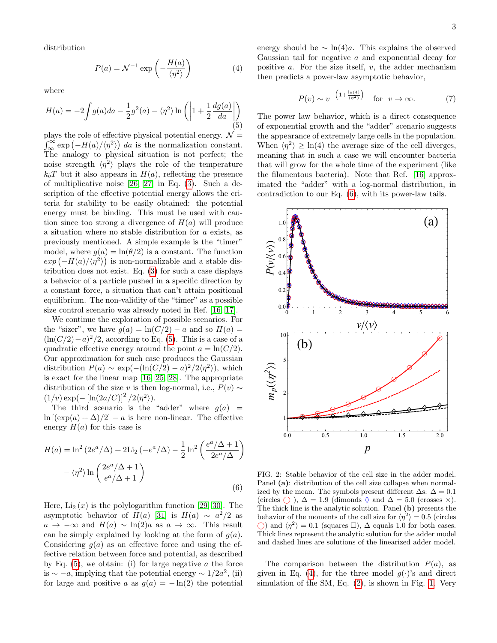distribution

<span id="page-2-0"></span>
$$
P(a) = \mathcal{N}^{-1} \exp\left(-\frac{H(a)}{\langle \eta^2 \rangle}\right) \tag{4}
$$

where

<span id="page-2-3"></span>
$$
H(a) = -2 \int g(a)da - \frac{1}{2}g^{2}(a) - \langle \eta^{2} \rangle \ln \left( \left| 1 + \frac{1}{2} \frac{dg(a)}{da} \right| \right)
$$
\n(5)

plays the role of effective physical potential energy.  $\mathcal{N} =$  $\int_{\infty}^{\infty} \exp(-H(a)/\langle \eta^2 \rangle) da$  is the normalization constant. The analogy to physical situation is not perfect; the noise strength  $\langle \eta^2 \rangle$  plays the role of the temperature  $k_bT$  but it also appears in  $H(a)$ , reflecting the presence of multiplicative noise [\[26,](#page-4-22) [27\]](#page-4-23) in Eq. [\(3\)](#page-1-2). Such a description of the effective potential energy allows the criteria for stability to be easily obtained: the potential energy must be binding. This must be used with caution since too strong a divergence of  $H(a)$  will produce a situation where no stable distribution for a exists, as previously mentioned. A simple example is the "timer" model, where  $g(a) = \ln(\theta/2)$  is a constant. The function  $\exp(-H(a)/\langle \eta^2 \rangle)$  is non-normalizable and a stable distribution does not exist. Eq. [\(3\)](#page-1-2) for such a case displays a behavior of a particle pushed in a specific direction by a constant force, a situation that can't attain positional equilibrium. The non-validity of the "timer" as a possible size control scenario was already noted in Ref. [\[16,](#page-4-12) [17\]](#page-4-13).

We continue the exploration of possible scenarios. For the "sizer", we have  $g(a) = \ln(C/2) - a$  and so  $H(a) =$  $(\ln(C/2)-a)^2/2$ , according to Eq. [\(5\)](#page-2-3). This is a case of a quadratic effective energy around the point  $a = \ln(C/2)$ . Our approximation for such case produces the Gaussian distribution  $P(a) \sim \exp(-(\ln(C/2) - a)^2/2\langle \eta^2 \rangle)$ , which is exact for the linear map [\[16,](#page-4-12) [25,](#page-4-21) [28\]](#page-4-24). The appropriate distribution of the size v is then log-normal, i.e.,  $P(v) \sim$  $(1/v) \exp(-\left[\ln(2a/C)\right]^2/2\langle\eta^2\rangle).$ 

The third scenario is the "adder" where  $g(a)$  =  $\ln [(\exp(a) + \Delta)/2] - a$  is here non-linear. The effective energy  $H(a)$  for this case is

<span id="page-2-1"></span>
$$
H(a) = \ln^2\left(2e^a/\Delta\right) + 2\text{Li}_2\left(-e^a/\Delta\right) - \frac{1}{2}\ln^2\left(\frac{e^a/\Delta + 1}{2e^a/\Delta}\right) - \langle\eta^2\rangle\ln\left(\frac{2e^a/\Delta + 1}{e^a/\Delta + 1}\right)
$$
\n(6)

Here,  $Li_2(x)$  is the polylogarithm function [\[29,](#page-4-25) [30\]](#page-4-26). The asymptotic behavior of  $H(a)$  [\[31\]](#page-4-27) is  $H(a) \sim a^2/2$  as  $a \to -\infty$  and  $H(a) \sim \ln(2)a$  as  $a \to \infty$ . This result can be simply explained by looking at the form of  $g(a)$ . Considering  $q(a)$  as an effective force and using the effective relation between force and potential, as described by Eq.  $(5)$ , we obtain: (i) for large negative a the force is  $\sim -a$ , implying that the potential energy  $\sim 1/2a^2$ , (ii) for large and positive a as  $q(a) = -\ln(2)$  the potential

energy should be  $\sim \ln(4)a$ . This explains the observed Gaussian tail for negative a and exponential decay for positive  $a$ . For the size itself,  $v$ , the adder mechanism then predicts a power-law asymptotic behavior,

<span id="page-2-2"></span>
$$
P(v) \sim v^{-\left(1 + \frac{\ln(4)}{\langle \eta^2 \rangle}\right)} \quad \text{for} \quad v \to \infty. \tag{7}
$$

The power law behavior, which is a direct consequence of exponential growth and the "adder" scenario suggests the appearance of extremely large cells in the population. When  $\langle \eta^2 \rangle \geq \ln(4)$  the average size of the cell diverges, meaning that in such a case we will encounter bacteria that will grow for the whole time of the experiment (like the filamentous bacteria). Note that Ref. [\[16\]](#page-4-12) approximated the "adder" with a log-normal distribution, in contradiction to our Eq. [\(6\)](#page-2-1), with its power-law tails.

<span id="page-2-4"></span>

FIG. 2: Stable behavior of the cell size in the adder model. Panel (a): distribution of the cell size collapse when normalized by the mean. The symbols present different  $\Delta$ s:  $\Delta = 0.1$ (circles  $\bigcirc$ ),  $\Delta = 1.9$  (dimonds  $\Diamond$  and  $\Delta = 5.0$  (crosses  $\times$ ). The thick line is the analytic solution. Panel (b) presents the behavior of the moments of the cell size for  $\langle \eta^2 \rangle = 0.5$  (circles () and  $\langle η^2 \rangle = 0.1$  (squares □), Δ equals 1.0 for both cases. Thick lines represent the analytic solution for the adder model and dashed lines are solutions of the linearized adder model.

The comparison between the distribution  $P(a)$ , as given in Eq. [\(4\)](#page-2-0), for the three model  $q(\cdot)$ 's and direct simulation of the SM, Eq. [\(2\)](#page-1-1), is shown in Fig. [1.](#page-1-3) Very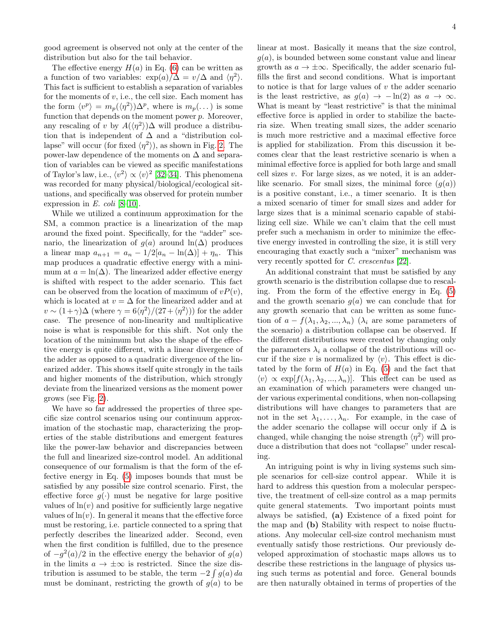good agreement is observed not only at the center of the distribution but also for the tail behavior.

The effective energy  $H(a)$  in Eq. [\(6\)](#page-2-1) can be written as a function of two variables:  $\exp(a)/\Delta = v/\Delta$  and  $\langle \eta^2 \rangle$ . This fact is sufficient to establish a separation of variables for the moments of  $v$ , i.e., the cell size. Each moment has the form  $\langle v^p \rangle = m_p(\langle \eta^2 \rangle) \Delta^p$ , where is  $m_p(\dots)$  is some function that depends on the moment power  $p$ . Moreover, any rescaling of v by  $A(\langle \eta^2 \rangle) \Delta$  will produce a distribution that is independent of  $\Delta$  and a "distribution collapse" will occur (for fixed  $\langle \eta^2 \rangle$ ), as shown in Fig. [2.](#page-2-4) The power-law dependence of the moments on  $\Delta$  and separation of variables can be viewed as specific manifestations of Taylor's law, i.e.,  $\langle v^2 \rangle \propto \langle v \rangle^2$  [\[32](#page-4-28)[–34\]](#page-4-29). This phenomena was recorded for many physical/biological/ecological situations, and specifically was observed for protein number expression in E. coli  $[8-10]$  $[8-10]$ .

While we utilized a continuum approximation for the SM, a common practice is a linearization of the map around the fixed point. Specifically, for the "adder" scenario, the linearization of  $g(a)$  around ln( $\Delta$ ) produces a linear map  $a_{n+1} = a_n - 1/2[a_n - \ln(\Delta)] + \eta_n$ . This map produces a quadratic effective energy with a minimum at  $a = \ln(\Delta)$ . The linearized adder effective energy is shifted with respect to the adder scenario. This fact can be observed from the location of maximum of  $vP(v)$ . which is located at  $v = \Delta$  for the linearized adder and at  $v \sim (1+\gamma)\Delta$  (where  $\gamma = 6\langle \eta^2 \rangle/(27+\langle \eta^2 \rangle)$ ) for the adder case. The presence of non-linearity and multiplicative noise is what is responsible for this shift. Not only the location of the minimum but also the shape of the effective energy is quite different, with a linear divergence of the adder as opposed to a quadratic divergence of the linearized adder. This shows itself quite strongly in the tails and higher moments of the distribution, which strongly deviate from the linearized versions as the moment power grows (see Fig. [2\)](#page-2-4).

We have so far addressed the properties of three specific size control scenarios using our continuum approximation of the stochastic map, characterizing the properties of the stable distributions and emergent features like the power-law behavior and discrepancies between the full and linearized size-control model. An additional consequence of our formalism is that the form of the effective energy in Eq. [\(5\)](#page-2-3) imposes bounds that must be satisfied by any possible size control scenario. First, the effective force  $g(\cdot)$  must be negative for large positive values of  $ln(v)$  and positive for sufficiently large negative values of  $ln(v)$ . In general it means that the effective force must be restoring, i.e. particle connected to a spring that perfectly describes the linearized adder. Second, even when the first condition is fulfilled, due to the presence of  $-g^2(a)/2$  in the effective energy the behavior of  $g(a)$ in the limits  $a \to \pm \infty$  is restricted. Since the size distribution is assumed to be stable, the term  $-2 \int g(a) da$ must be dominant, restricting the growth of  $q(a)$  to be

linear at most. Basically it means that the size control,  $g(a)$ , is bounded between some constant value and linear growth as  $a \to \pm \infty$ . Specifically, the adder scenario fulfills the first and second conditions. What is important to notice is that for large values of  $v$  the adder scenario is the least restrictive, as  $q(a) \rightarrow -\ln(2)$  as  $a \rightarrow \infty$ . What is meant by "least restrictive" is that the minimal effective force is applied in order to stabilize the bacteria size. When treating small sizes, the adder scenario is much more restrictive and a maximal effective force is applied for stabilization. From this discussion it becomes clear that the least restrictive scenario is when a minimal effective force is applied for both large and small cell sizes  $v$ . For large sizes, as we noted, it is an adderlike scenario. For small sizes, the minimal force  $(g(a))$ is a positive constant, i.e., a timer scenario. It is then a mixed scenario of timer for small sizes and adder for large sizes that is a minimal scenario capable of stabilizing cell size. While we can't claim that the cell must prefer such a mechanism in order to minimize the effective energy invested in controlling the size, it is still very encouraging that exactly such a "mixer" mechanism was very recently spotted for C. crescentus [\[22\]](#page-4-18).

An additional constraint that must be satisfied by any growth scenario is the distribution collapse due to rescaling. From the form of the effective energy in Eq. [\(5\)](#page-2-3) and the growth scenario  $g(a)$  we can conclude that for any growth scenario that can be written as some function of  $a - f(\lambda_1, \lambda_2, ..., \lambda_n)$  ( $\lambda_i$  are some parameters of the scenario) a distribution collapse can be observed. If the different distributions were created by changing only the parameters  $\lambda_i$  a collapse of the distributions will occur if the size v is normalized by  $\langle v \rangle$ . This effect is dictated by the form of  $H(a)$  in Eq. [\(5\)](#page-2-3) and the fact that  $\langle v \rangle \propto \exp[f(\lambda_1, \lambda_2, ..., \lambda_n)].$  This effect can be used as an examination of which parameters were changed under various experimental conditions, when non-collapsing distributions will have changes to parameters that are not in the set  $\lambda_1, \ldots, \lambda_n$ . For example, in the case of the adder scenario the collapse will occur only if  $\Delta$  is changed, while changing the noise strength  $\langle \eta^2 \rangle$  will produce a distribution that does not "collapse" under rescaling.

An intriguing point is why in living systems such simple scenarios for cell-size control appear. While it is hard to address this question from a molecular perspective, the treatment of cell-size control as a map permits quite general statements. Two important points must always be satisfied, (a) Existence of a fixed point for the map and (b) Stability with respect to noise fluctuations. Any molecular cell-size control mechanism must eventually satisfy those restrictions. Our previously developed approximation of stochastic maps allows us to describe these restrictions in the language of physics using such terms as potential and force. General bounds are then naturally obtained in terms of properties of the